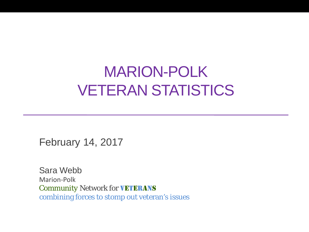## MARION-POLK VETERAN STATISTICS

February 14, 2017

Sara Webb Marion-Polk **Community Network for VETERANS** combining forces to *stomp out* veteran's issues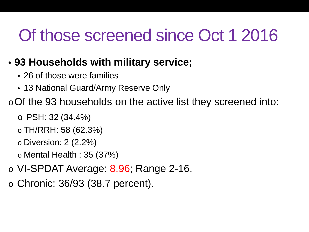# Of those screened since Oct 1 2016

#### • **93 Households with military service;**

- 26 of those were families
- 13 National Guard/Army Reserve Only

oOf the 93 households on the active list they screened into:

- o PSH: 32 (34.4%)
- o TH/RRH: 58 (62.3%)
- o Diversion: 2 (2.2%)
- $\circ$  Mental Health : 35 (37%)
- o VI-SPDAT Average: 8.96; Range 2-16.
- o Chronic: 36/93 (38.7 percent).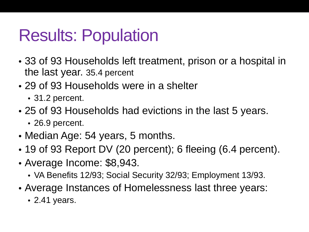# Results: Population

- 33 of 93 Households left treatment, prison or a hospital in the last year. 35.4 percent
- 29 of 93 Households were in a shelter
	- 31.2 percent.
- 25 of 93 Households had evictions in the last 5 years.
	- 26.9 percent.
- Median Age: 54 years, 5 months.
- 19 of 93 Report DV (20 percent); 6 fleeing (6.4 percent).
- Average Income: \$8,943.
	- VA Benefits 12/93; Social Security 32/93; Employment 13/93.
- Average Instances of Homelessness last three years:
	- 2.41 years.